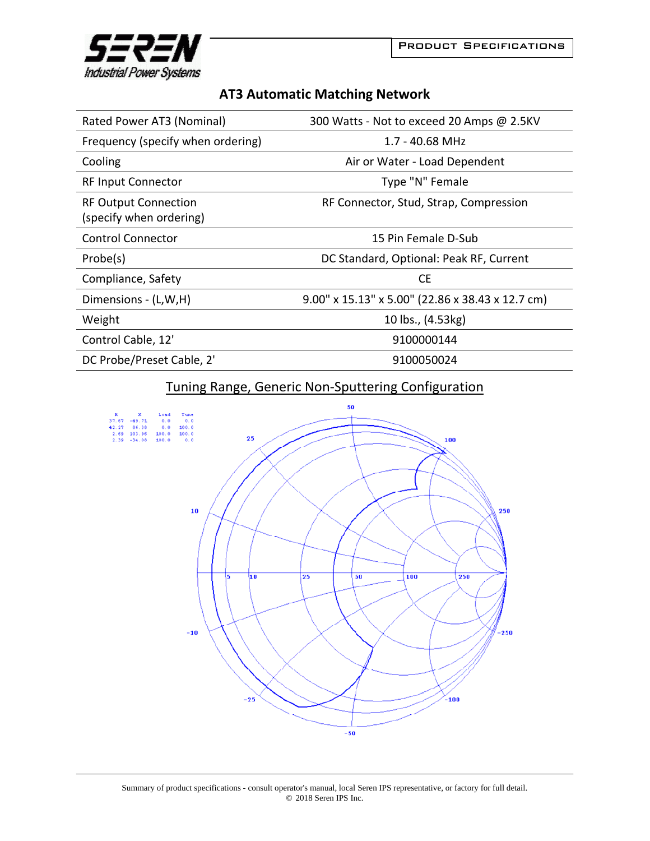

## **AT3 Automatic Matching Network**

| Rated Power AT3 (Nominal)                              | 300 Watts - Not to exceed 20 Amps @ 2.5KV        |
|--------------------------------------------------------|--------------------------------------------------|
| Frequency (specify when ordering)                      | 1.7 - 40.68 MHz                                  |
| Cooling                                                | Air or Water - Load Dependent                    |
| <b>RF Input Connector</b>                              | Type "N" Female                                  |
| <b>RF Output Connection</b><br>(specify when ordering) | RF Connector, Stud, Strap, Compression           |
| <b>Control Connector</b>                               | 15 Pin Female D-Sub                              |
| Probe(s)                                               | DC Standard, Optional: Peak RF, Current          |
| Compliance, Safety                                     | <b>CE</b>                                        |
| Dimensions - (L,W,H)                                   | 9.00" x 15.13" x 5.00" (22.86 x 38.43 x 12.7 cm) |
| Weight                                                 | 10 lbs., (4.53kg)                                |
| Control Cable, 12'                                     | 9100000144                                       |
| DC Probe/Preset Cable, 2'                              | 9100050024                                       |

## Tuning Range, Generic Non‐Sputtering Configuration